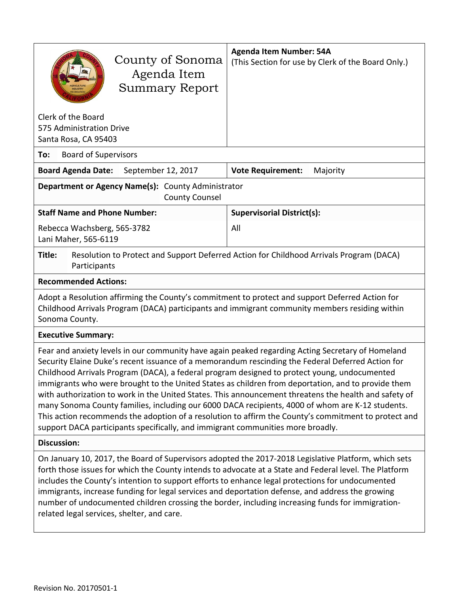| County of Sonoma<br>Agenda Item<br><b>Summary Report</b>                                                                                                                                                                                                                                                                                                                                                                                                                                                                                                                                                                                                                                                                                                                                                             | <b>Agenda Item Number: 54A</b><br>(This Section for use by Clerk of the Board Only.)    |  |  |  |
|----------------------------------------------------------------------------------------------------------------------------------------------------------------------------------------------------------------------------------------------------------------------------------------------------------------------------------------------------------------------------------------------------------------------------------------------------------------------------------------------------------------------------------------------------------------------------------------------------------------------------------------------------------------------------------------------------------------------------------------------------------------------------------------------------------------------|-----------------------------------------------------------------------------------------|--|--|--|
| Clerk of the Board<br>575 Administration Drive<br>Santa Rosa, CA 95403                                                                                                                                                                                                                                                                                                                                                                                                                                                                                                                                                                                                                                                                                                                                               |                                                                                         |  |  |  |
| <b>Board of Supervisors</b><br>To:                                                                                                                                                                                                                                                                                                                                                                                                                                                                                                                                                                                                                                                                                                                                                                                   |                                                                                         |  |  |  |
| September 12, 2017<br><b>Board Agenda Date:</b>                                                                                                                                                                                                                                                                                                                                                                                                                                                                                                                                                                                                                                                                                                                                                                      | <b>Vote Requirement:</b><br>Majority                                                    |  |  |  |
| Department or Agency Name(s): County Administrator<br><b>County Counsel</b>                                                                                                                                                                                                                                                                                                                                                                                                                                                                                                                                                                                                                                                                                                                                          |                                                                                         |  |  |  |
| <b>Staff Name and Phone Number:</b>                                                                                                                                                                                                                                                                                                                                                                                                                                                                                                                                                                                                                                                                                                                                                                                  | <b>Supervisorial District(s):</b>                                                       |  |  |  |
| Rebecca Wachsberg, 565-3782<br>Lani Maher, 565-6119                                                                                                                                                                                                                                                                                                                                                                                                                                                                                                                                                                                                                                                                                                                                                                  | All                                                                                     |  |  |  |
| Title:<br>Participants                                                                                                                                                                                                                                                                                                                                                                                                                                                                                                                                                                                                                                                                                                                                                                                               | Resolution to Protect and Support Deferred Action for Childhood Arrivals Program (DACA) |  |  |  |
| <b>Recommended Actions:</b>                                                                                                                                                                                                                                                                                                                                                                                                                                                                                                                                                                                                                                                                                                                                                                                          |                                                                                         |  |  |  |
| Adopt a Resolution affirming the County's commitment to protect and support Deferred Action for<br>Childhood Arrivals Program (DACA) participants and immigrant community members residing within<br>Sonoma County.                                                                                                                                                                                                                                                                                                                                                                                                                                                                                                                                                                                                  |                                                                                         |  |  |  |
| <b>Executive Summary:</b>                                                                                                                                                                                                                                                                                                                                                                                                                                                                                                                                                                                                                                                                                                                                                                                            |                                                                                         |  |  |  |
| Fear and anxiety levels in our community have again peaked regarding Acting Secretary of Homeland<br>Security Elaine Duke's recent issuance of a memorandum rescinding the Federal Deferred Action for<br>Childhood Arrivals Program (DACA), a federal program designed to protect young, undocumented<br>immigrants who were brought to the United States as children from deportation, and to provide them<br>with authorization to work in the United States. This announcement threatens the health and safety of<br>many Sonoma County families, including our 6000 DACA recipients, 4000 of whom are K-12 students.<br>This action recommends the adoption of a resolution to affirm the County's commitment to protect and<br>support DACA participants specifically, and immigrant communities more broadly. |                                                                                         |  |  |  |
| <b>Discussion:</b>                                                                                                                                                                                                                                                                                                                                                                                                                                                                                                                                                                                                                                                                                                                                                                                                   |                                                                                         |  |  |  |
| On January 10, 2017, the Board of Supervisors adopted the 2017-2018 Legislative Platform, which sets<br>forth those issues for which the County intends to advocate at a State and Federal level. The Platform<br>includes the County's intention to support efforts to enhance legal protections for undocumented<br>immigrants, increase funding for legal services and deportation defense, and address the growing<br>number of undocumented children crossing the border, including increasing funds for immigration-<br>related legal services, shelter, and care.                                                                                                                                                                                                                                             |                                                                                         |  |  |  |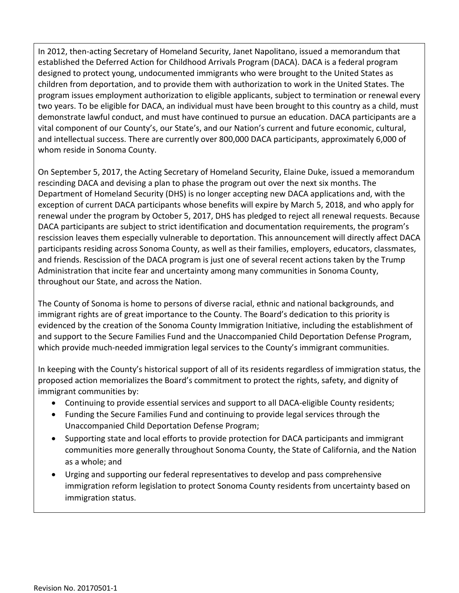In 2012, then-acting Secretary of Homeland Security, Janet Napolitano, issued a memorandum that established the Deferred Action for Childhood Arrivals Program (DACA). DACA is a federal program designed to protect young, undocumented immigrants who were brought to the United States as children from deportation, and to provide them with authorization to work in the United States. The program issues employment authorization to eligible applicants, subject to termination or renewal every two years. To be eligible for DACA, an individual must have been brought to this country as a child, must demonstrate lawful conduct, and must have continued to pursue an education. DACA participants are a vital component of our County's, our State's, and our Nation's current and future economic, cultural, and intellectual success. There are currently over 800,000 DACA participants, approximately 6,000 of whom reside in Sonoma County.

On September 5, 2017, the Acting Secretary of Homeland Security, Elaine Duke, issued a memorandum rescinding DACA and devising a plan to phase the program out over the next six months. The Department of Homeland Security (DHS) is no longer accepting new DACA applications and, with the exception of current DACA participants whose benefits will expire by March 5, 2018, and who apply for renewal under the program by October 5, 2017, DHS has pledged to reject all renewal requests. Because DACA participants are subject to strict identification and documentation requirements, the program's rescission leaves them especially vulnerable to deportation. This announcement will directly affect DACA participants residing across Sonoma County, as well as their families, employers, educators, classmates, and friends. Rescission of the DACA program is just one of several recent actions taken by the Trump Administration that incite fear and uncertainty among many communities in Sonoma County, throughout our State, and across the Nation.

The County of Sonoma is home to persons of diverse racial, ethnic and national backgrounds, and immigrant rights are of great importance to the County. The Board's dedication to this priority is evidenced by the creation of the Sonoma County Immigration Initiative, including the establishment of and support to the Secure Families Fund and the Unaccompanied Child Deportation Defense Program, which provide much-needed immigration legal services to the County's immigrant communities.

In keeping with the County's historical support of all of its residents regardless of immigration status, the proposed action memorializes the Board's commitment to protect the rights, safety, and dignity of immigrant communities by:

- Continuing to provide essential services and support to all DACA-eligible County residents;
- Funding the Secure Families Fund and continuing to provide legal services through the Unaccompanied Child Deportation Defense Program;
- Supporting state and local efforts to provide protection for DACA participants and immigrant communities more generally throughout Sonoma County, the State of California, and the Nation as a whole; and
- Urging and supporting our federal representatives to develop and pass comprehensive immigration reform legislation to protect Sonoma County residents from uncertainty based on immigration status.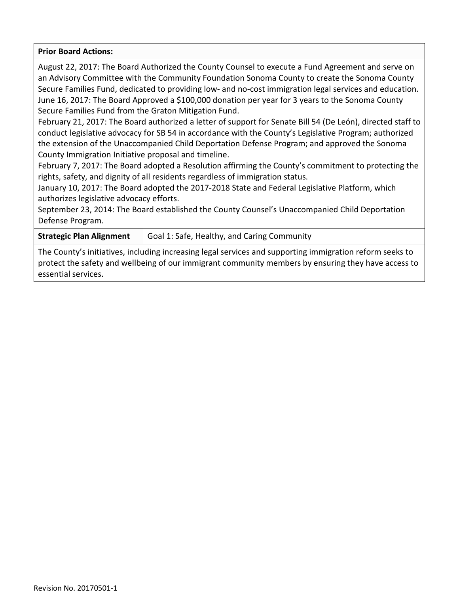## **Prior Board Actions:**

August 22, 2017: The Board Authorized the County Counsel to execute a Fund Agreement and serve on an Advisory Committee with the Community Foundation Sonoma County to create the Sonoma County Secure Families Fund, dedicated to providing low- and no-cost immigration legal services and education. June 16, 2017: The Board Approved a \$100,000 donation per year for 3 years to the Sonoma County Secure Families Fund from the Graton Mitigation Fund.

February 21, 2017: The Board authorized a letter of support for Senate Bill 54 (De León), directed staff to conduct legislative advocacy for SB 54 in accordance with the County's Legislative Program; authorized the extension of the Unaccompanied Child Deportation Defense Program; and approved the Sonoma County Immigration Initiative proposal and timeline.

February 7, 2017: The Board adopted a Resolution affirming the County's commitment to protecting the rights, safety, and dignity of all residents regardless of immigration status.

January 10, 2017: The Board adopted the 2017-2018 State and Federal Legislative Platform, which authorizes legislative advocacy efforts.

September 23, 2014: The Board established the County Counsel's Unaccompanied Child Deportation Defense Program.

**Strategic Plan Alignment** Goal 1: Safe, Healthy, and Caring Community

The County's initiatives, including increasing legal services and supporting immigration reform seeks to protect the safety and wellbeing of our immigrant community members by ensuring they have access to essential services.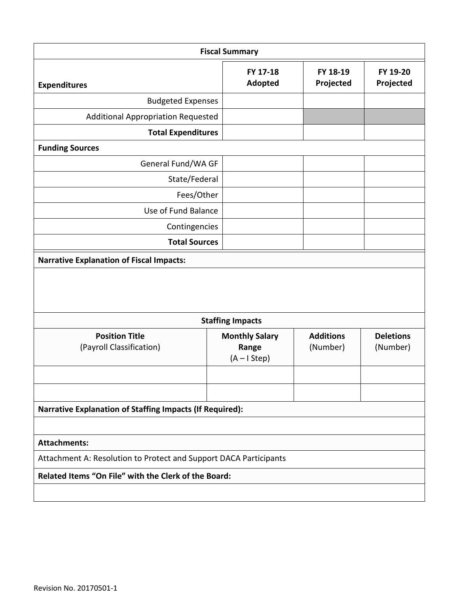| <b>Fiscal Summary</b>                                             |                                                 |                              |                              |  |  |  |  |
|-------------------------------------------------------------------|-------------------------------------------------|------------------------------|------------------------------|--|--|--|--|
| <b>Expenditures</b>                                               | FY 17-18<br><b>Adopted</b>                      | FY 18-19<br>Projected        | FY 19-20<br>Projected        |  |  |  |  |
| <b>Budgeted Expenses</b>                                          |                                                 |                              |                              |  |  |  |  |
| <b>Additional Appropriation Requested</b>                         |                                                 |                              |                              |  |  |  |  |
| <b>Total Expenditures</b>                                         |                                                 |                              |                              |  |  |  |  |
| <b>Funding Sources</b>                                            |                                                 |                              |                              |  |  |  |  |
| General Fund/WA GF                                                |                                                 |                              |                              |  |  |  |  |
| State/Federal                                                     |                                                 |                              |                              |  |  |  |  |
| Fees/Other                                                        |                                                 |                              |                              |  |  |  |  |
| Use of Fund Balance                                               |                                                 |                              |                              |  |  |  |  |
| Contingencies                                                     |                                                 |                              |                              |  |  |  |  |
| <b>Total Sources</b>                                              |                                                 |                              |                              |  |  |  |  |
| <b>Narrative Explanation of Fiscal Impacts:</b>                   |                                                 |                              |                              |  |  |  |  |
|                                                                   |                                                 |                              |                              |  |  |  |  |
| <b>Staffing Impacts</b>                                           |                                                 |                              |                              |  |  |  |  |
| <b>Position Title</b><br>(Payroll Classification)                 | <b>Monthly Salary</b><br>Range<br>$(A - IStep)$ | <b>Additions</b><br>(Number) | <b>Deletions</b><br>(Number) |  |  |  |  |
|                                                                   |                                                 |                              |                              |  |  |  |  |
| <b>Narrative Explanation of Staffing Impacts (If Required):</b>   |                                                 |                              |                              |  |  |  |  |
| <b>Attachments:</b>                                               |                                                 |                              |                              |  |  |  |  |
| Attachment A: Resolution to Protect and Support DACA Participants |                                                 |                              |                              |  |  |  |  |
| Related Items "On File" with the Clerk of the Board:              |                                                 |                              |                              |  |  |  |  |
|                                                                   |                                                 |                              |                              |  |  |  |  |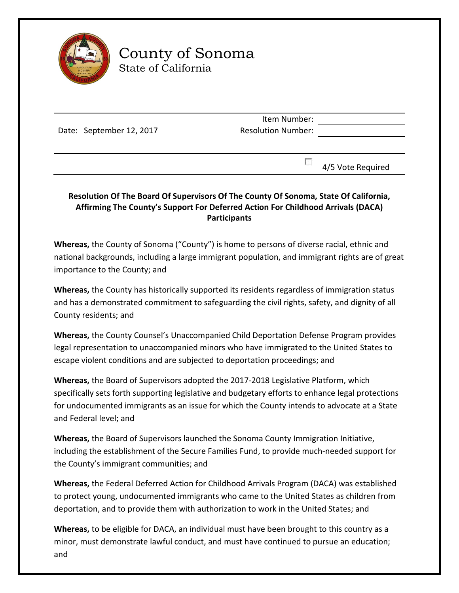

## County of Sonoma State of California

Date: September 12, 2017

Item Number: Resolution Number:

 $\Box$  4/5 Vote Required

## **Resolution Of The Board Of Supervisors Of The County Of Sonoma, State Of California, Affirming The County's Support For Deferred Action For Childhood Arrivals (DACA) Participants**

**Whereas,** the County of Sonoma ("County") is home to persons of diverse racial, ethnic and national backgrounds, including a large immigrant population, and immigrant rights are of great importance to the County; and

**Whereas,** the County has historically supported its residents regardless of immigration status and has a demonstrated commitment to safeguarding the civil rights, safety, and dignity of all County residents; and

**Whereas,** the County Counsel's Unaccompanied Child Deportation Defense Program provides legal representation to unaccompanied minors who have immigrated to the United States to escape violent conditions and are subjected to deportation proceedings; and

**Whereas,** the Board of Supervisors adopted the 2017-2018 Legislative Platform, which specifically sets forth supporting legislative and budgetary efforts to enhance legal protections for undocumented immigrants as an issue for which the County intends to advocate at a State and Federal level; and

**Whereas,** the Board of Supervisors launched the Sonoma County Immigration Initiative, including the establishment of the Secure Families Fund, to provide much-needed support for the County's immigrant communities; and

**Whereas,** the Federal Deferred Action for Childhood Arrivals Program (DACA) was established to protect young, undocumented immigrants who came to the United States as children from deportation, and to provide them with authorization to work in the United States; and

**Whereas,** to be eligible for DACA, an individual must have been brought to this country as a minor, must demonstrate lawful conduct, and must have continued to pursue an education; and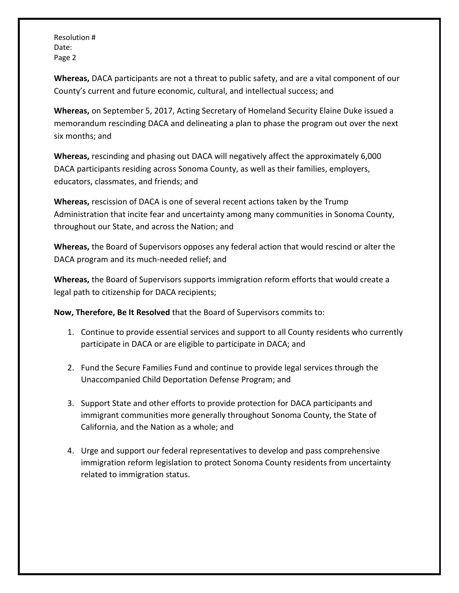Resolution # Date: Page 2

**Whereas,** DACA participants are not a threat to public safety, and are a vital component of our County's current and future economic, cultural, and intellectual success; and

**Whereas,** on September 5, 2017, Acting Secretary of Homeland Security Elaine Duke issued a memorandum rescinding DACA and delineating a plan to phase the program out over the next six months; and

**Whereas,** rescinding and phasing out DACA will negatively affect the approximately 6,000 DACA participants residing across Sonoma County, as well as their families, employers, educators, classmates, and friends; and

**Whereas,** rescission of DACA is one of several recent actions taken by the Trump Administration that incite fear and uncertainty among many communities in Sonoma County, throughout our State, and across the Nation; and

**Whereas,** the Board of Supervisors opposes any federal action that would rescind or alter the DACA program and its much-needed relief; and

**Whereas,** the Board of Supervisors supports immigration reform efforts that would create a legal path to citizenship for DACA recipients;

**Now, Therefore, Be It Resolved** that the Board of Supervisors commits to:

- 1. Continue to provide essential services and support to all County residents who currently participate in DACA or are eligible to participate in DACA; and
- 2. Fund the Secure Families Fund and continue to provide legal services through the Unaccompanied Child Deportation Defense Program; and
- 3. Support State and other efforts to provide protection for DACA participants and immigrant communities more generally throughout Sonoma County, the State of California, and the Nation as a whole; and
- 4. Urge and support our federal representatives to develop and pass comprehensive immigration reform legislation to protect Sonoma County residents from uncertainty related to immigration status.